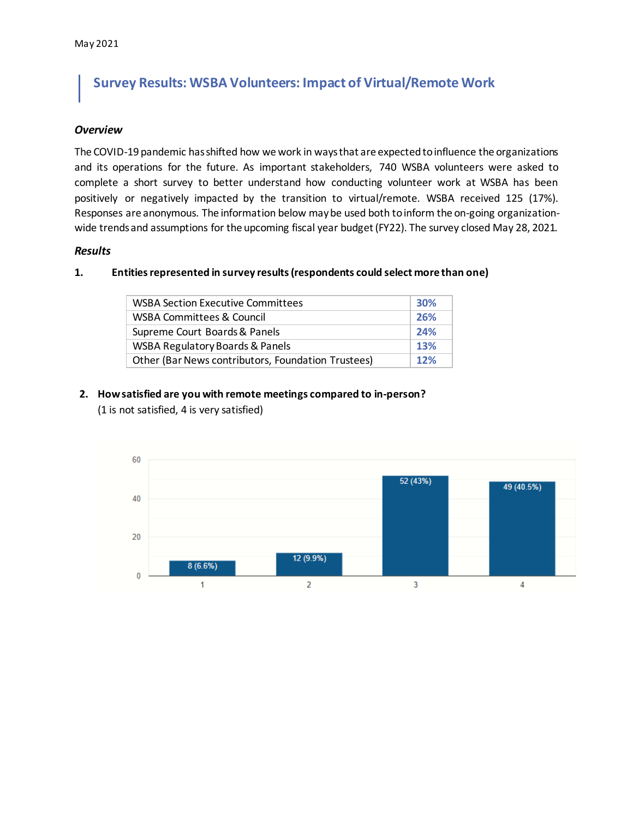## **Survey Results: WSBA Volunteers: Impact of Virtual/Remote Work**

#### *Overview*

The COVID-19 pandemic has shifted how we work in ways that are expected to influence the organizations and its operations for the future. As important stakeholders, 740 WSBA volunteers were asked to complete a short survey to better understand how conducting volunteer work at WSBA has been positively or negatively impacted by the transition to virtual/remote. WSBA received 125 (17%). Responses are anonymous. The information below may be used both to inform the on-going organizationwide trends and assumptions for the upcoming fiscal year budget (FY22). The survey closed May 28, 2021.

## *Results*

#### **1. Entities represented in survey results (respondents could select more than one)**

| <b>WSBA Section Executive Committees</b>           | <b>30%</b> |
|----------------------------------------------------|------------|
| <b>WSBA Committees &amp; Council</b>               | 26%        |
| Supreme Court Boards & Panels                      | 24%        |
| WSBA Regulatory Boards & Panels                    | 13%        |
| Other (Bar News contributors, Foundation Trustees) | 12%        |

# **2. How satisfied are you with remote meetings compared to in-person?**

(1 is not satisfied, 4 is very satisfied)

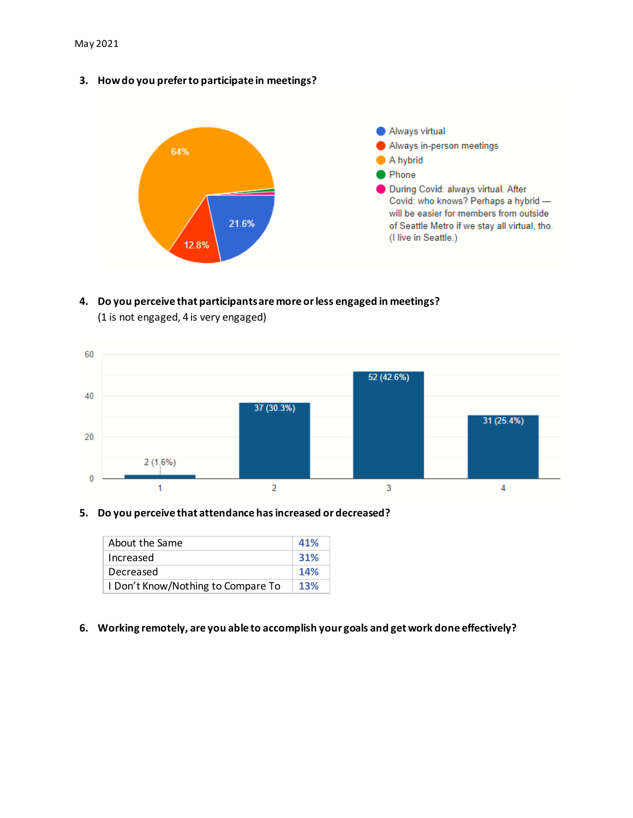**3. How do you prefer to participate in meetings?**



## **4. Do you perceive that participants are more or less engaged in meetings?** (1 is not engaged, 4 is very engaged)



#### **5. Do you perceive that attendance has increased or decreased?**

| About the Same                     | 41%        |
|------------------------------------|------------|
| Increased                          | 31%        |
| Decreased                          | <b>14%</b> |
| I Don't Know/Nothing to Compare To | <b>13%</b> |

#### **6. Working remotely, are you able to accomplish your goals and get work done effectively?**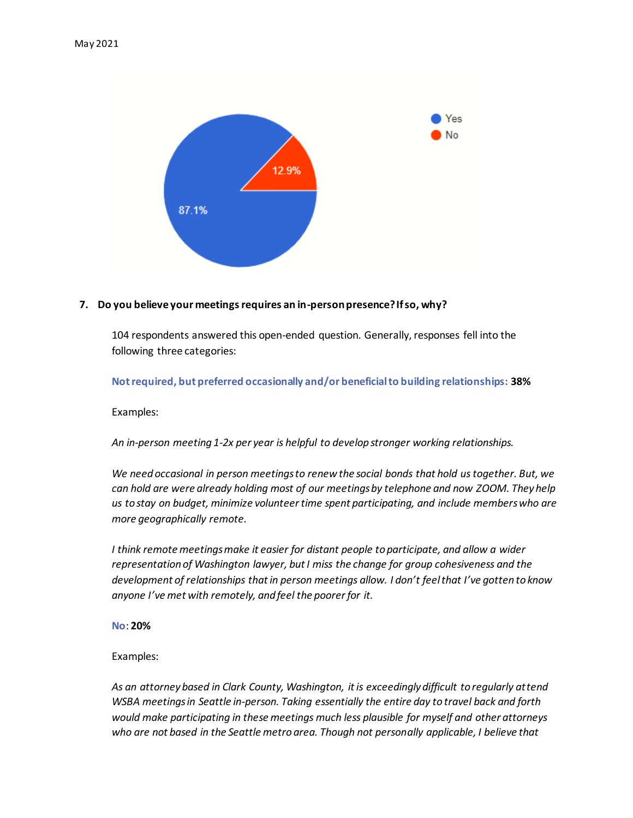

## **7. Do you believe your meetings requires an in-person presence? If so, why?**

104 respondents answered this open-ended question. Generally, responses fell into the following three categories:

**Not required, but preferred occasionally and/or beneficial to building relationships: 38%**

Examples:

*An in-person meeting 1-2x per year is helpful to develop stronger working relationships.* 

*We need occasional in person meetings to renew the social bonds that hold us together. But, we can hold are were already holding most of our meetings by telephone and now ZOOM. They help us to stay on budget, minimize volunteer time spent participating, and include members who are more geographically remote.* 

*I think remote meetings make it easier for distant people to participate, and allow a wider representation of Washington lawyer, but I miss the change for group cohesiveness and the development of relationships that in person meetings allow. I don't feel that I've gotten to know anyone I've met with remotely, and feel the poorer for it.* 

**No**: **20%**

Examples:

*As an attorney based in Clark County, Washington, it is exceedingly difficult to regularly attend WSBA meetings in Seattle in-person. Taking essentially the entire day to travel back and forth would make participating in these meetings much less plausible for myself and other attorneys who are not based in the Seattle metro area. Though not personally applicable, I believe that*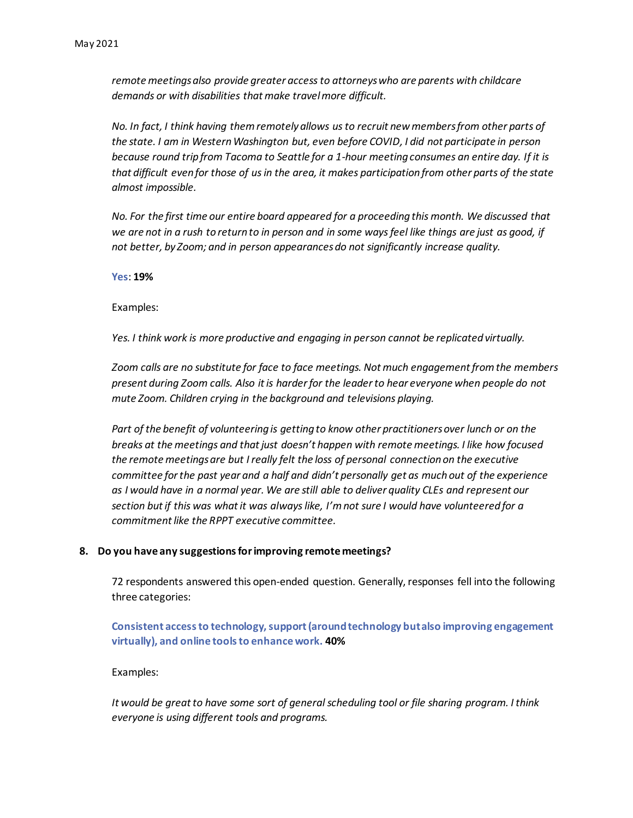*remote meetings also provide greater access to attorneys who are parents with childcare demands or with disabilities that make travel more difficult.*

*No. In fact, I think having them remotely allows us to recruit new members from other parts of the state. I am in Western Washington but, even before COVID, I did not participate in person because round trip from Tacoma to Seattle for a 1-hour meeting consumes an entire day. If it is that difficult even for those of us in the area, it makes participation from other parts of the state almost impossible.* 

*No. For the first time our entire board appeared for a proceeding this month. We discussed that we are not in a rush to return to in person and in some ways feel like things are just as good, if not better, by Zoom; and in person appearances do not significantly increase quality.* 

**Yes**: **19%**

Examples:

*Yes. I think work is more productive and engaging in person cannot be replicated virtually.* 

*Zoom calls are no substitute for face to face meetings. Not much engagement from the members present during Zoom calls. Also it is harder for the leader to hear everyone when people do not mute Zoom. Children crying in the background and televisions playing.* 

*Part of the benefit of volunteering is getting to know other practitioners over lunch or on the breaks at the meetings and that just doesn't happen with remote meetings. I like how focused the remote meetings are but I really felt the loss of personal connection on the executive committee for the past year and a half and didn't personally get as much out of the experience as I would have in a normal year. We are still able to deliver quality CLEs and represent our section but if this was what it was always like, I'm not sure I would have volunteered for a commitment like the RPPT executive committee.* 

#### **8. Do you have any suggestions for improving remote meetings?**

72 respondents answered this open-ended question. Generally, responses fell into the following three categories:

**Consistent access to technology, support (around technology but also improving engagement virtually), and online tools to enhance work. 40%**

Examples:

*It would be great to have some sort of general scheduling tool or file sharing program. I think everyone is using different tools and programs.*